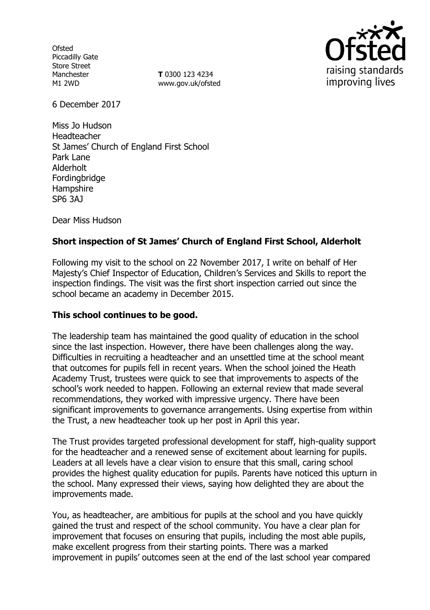**Ofsted** Piccadilly Gate Store Street Manchester M1 2WD

**T** 0300 123 4234 www.gov.uk/ofsted



6 December 2017

Miss Jo Hudson Headteacher St James' Church of England First School Park Lane Alderholt Fordingbridge Hampshire SP6 3AJ

Dear Miss Hudson

# **Short inspection of St James' Church of England First School, Alderholt**

Following my visit to the school on 22 November 2017, I write on behalf of Her Majesty's Chief Inspector of Education, Children's Services and Skills to report the inspection findings. The visit was the first short inspection carried out since the school became an academy in December 2015.

# **This school continues to be good.**

The leadership team has maintained the good quality of education in the school since the last inspection. However, there have been challenges along the way. Difficulties in recruiting a headteacher and an unsettled time at the school meant that outcomes for pupils fell in recent years. When the school joined the Heath Academy Trust, trustees were quick to see that improvements to aspects of the school's work needed to happen. Following an external review that made several recommendations, they worked with impressive urgency. There have been significant improvements to governance arrangements. Using expertise from within the Trust, a new headteacher took up her post in April this year.

The Trust provides targeted professional development for staff, high-quality support for the headteacher and a renewed sense of excitement about learning for pupils. Leaders at all levels have a clear vision to ensure that this small, caring school provides the highest quality education for pupils. Parents have noticed this upturn in the school. Many expressed their views, saying how delighted they are about the improvements made.

You, as headteacher, are ambitious for pupils at the school and you have quickly gained the trust and respect of the school community. You have a clear plan for improvement that focuses on ensuring that pupils, including the most able pupils, make excellent progress from their starting points. There was a marked improvement in pupils' outcomes seen at the end of the last school year compared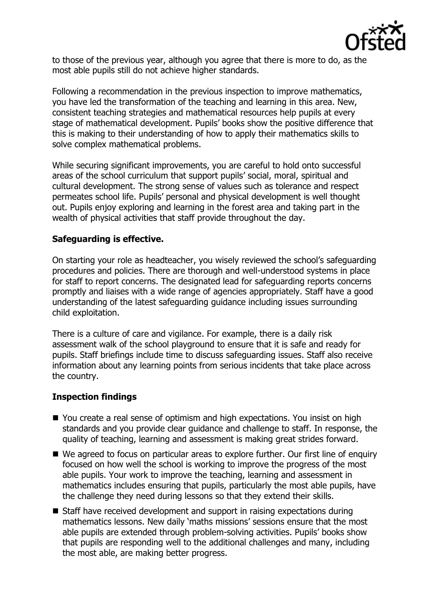

to those of the previous year, although you agree that there is more to do, as the most able pupils still do not achieve higher standards.

Following a recommendation in the previous inspection to improve mathematics, you have led the transformation of the teaching and learning in this area. New, consistent teaching strategies and mathematical resources help pupils at every stage of mathematical development. Pupils' books show the positive difference that this is making to their understanding of how to apply their mathematics skills to solve complex mathematical problems.

While securing significant improvements, you are careful to hold onto successful areas of the school curriculum that support pupils' social, moral, spiritual and cultural development. The strong sense of values such as tolerance and respect permeates school life. Pupils' personal and physical development is well thought out. Pupils enjoy exploring and learning in the forest area and taking part in the wealth of physical activities that staff provide throughout the day.

# **Safeguarding is effective.**

On starting your role as headteacher, you wisely reviewed the school's safeguarding procedures and policies. There are thorough and well-understood systems in place for staff to report concerns. The designated lead for safeguarding reports concerns promptly and liaises with a wide range of agencies appropriately. Staff have a good understanding of the latest safeguarding guidance including issues surrounding child exploitation.

There is a culture of care and vigilance. For example, there is a daily risk assessment walk of the school playground to ensure that it is safe and ready for pupils. Staff briefings include time to discuss safeguarding issues. Staff also receive information about any learning points from serious incidents that take place across the country.

# **Inspection findings**

- You create a real sense of optimism and high expectations. You insist on high standards and you provide clear guidance and challenge to staff. In response, the quality of teaching, learning and assessment is making great strides forward.
- We agreed to focus on particular areas to explore further. Our first line of enquiry focused on how well the school is working to improve the progress of the most able pupils. Your work to improve the teaching, learning and assessment in mathematics includes ensuring that pupils, particularly the most able pupils, have the challenge they need during lessons so that they extend their skills.
- Staff have received development and support in raising expectations during mathematics lessons. New daily 'maths missions' sessions ensure that the most able pupils are extended through problem-solving activities. Pupils' books show that pupils are responding well to the additional challenges and many, including the most able, are making better progress.